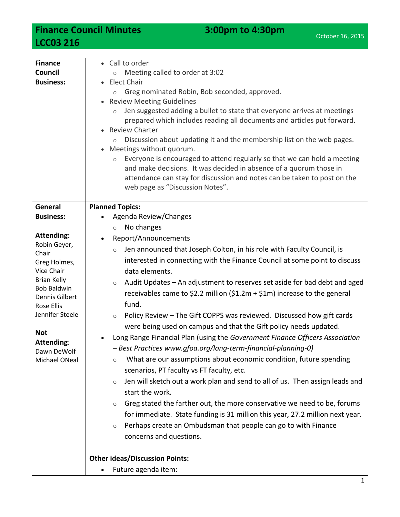**Finance Council Minutes 3:00pm to 4:30pm LCC03 216**

| <b>Finance</b>     | • Call to order                                                                                                                                                                                                                                                          |
|--------------------|--------------------------------------------------------------------------------------------------------------------------------------------------------------------------------------------------------------------------------------------------------------------------|
| Council            | Meeting called to order at 3:02<br>$\circ$                                                                                                                                                                                                                               |
| <b>Business:</b>   | • Elect Chair                                                                                                                                                                                                                                                            |
|                    | Greg nominated Robin, Bob seconded, approved.<br>$\circ$                                                                                                                                                                                                                 |
|                    | • Review Meeting Guidelines                                                                                                                                                                                                                                              |
|                    | Jen suggested adding a bullet to state that everyone arrives at meetings<br>$\circlearrowright$<br>prepared which includes reading all documents and articles put forward.<br>• Review Charter                                                                           |
|                    | Discussion about updating it and the membership list on the web pages.<br>Meetings without quorum.<br>$\bullet$                                                                                                                                                          |
|                    | Everyone is encouraged to attend regularly so that we can hold a meeting<br>$\circ$<br>and make decisions. It was decided in absence of a quorum those in<br>attendance can stay for discussion and notes can be taken to post on the<br>web page as "Discussion Notes". |
| General            | <b>Planned Topics:</b>                                                                                                                                                                                                                                                   |
| <b>Business:</b>   | Agenda Review/Changes                                                                                                                                                                                                                                                    |
|                    | No changes<br>$\circ$                                                                                                                                                                                                                                                    |
| <b>Attending:</b>  |                                                                                                                                                                                                                                                                          |
| Robin Geyer,       | Report/Announcements                                                                                                                                                                                                                                                     |
| Chair              | Jen announced that Joseph Colton, in his role with Faculty Council, is<br>$\circ$                                                                                                                                                                                        |
| Greg Holmes,       | interested in connecting with the Finance Council at some point to discuss                                                                                                                                                                                               |
| Vice Chair         | data elements.                                                                                                                                                                                                                                                           |
| <b>Brian Kelly</b> | Audit Updates - An adjustment to reserves set aside for bad debt and aged<br>$\circ$                                                                                                                                                                                     |
| <b>Bob Baldwin</b> | receivables came to \$2.2 million (\$1.2m + \$1m) increase to the general                                                                                                                                                                                                |
| Dennis Gilbert     |                                                                                                                                                                                                                                                                          |
| <b>Rose Ellis</b>  | fund.                                                                                                                                                                                                                                                                    |
| Jennifer Steele    | Policy Review - The Gift COPPS was reviewed. Discussed how gift cards<br>$\circ$                                                                                                                                                                                         |
|                    | were being used on campus and that the Gift policy needs updated.                                                                                                                                                                                                        |
| <b>Not</b>         | Long Range Financial Plan (using the Government Finance Officers Association                                                                                                                                                                                             |
| Attending:         | - Best Practices www.gfoa.org/long-term-financial-planning-0)                                                                                                                                                                                                            |
| Dawn DeWolf        | What are our assumptions about economic condition, future spending                                                                                                                                                                                                       |
| Michael ONeal      | $\circ$                                                                                                                                                                                                                                                                  |
|                    | scenarios, PT faculty vs FT faculty, etc.                                                                                                                                                                                                                                |
|                    | Jen will sketch out a work plan and send to all of us. Then assign leads and<br>$\circ$                                                                                                                                                                                  |
|                    | start the work.                                                                                                                                                                                                                                                          |
|                    | Greg stated the farther out, the more conservative we need to be, forums<br>$\circ$                                                                                                                                                                                      |
|                    | for immediate. State funding is 31 million this year, 27.2 million next year.                                                                                                                                                                                            |
|                    | Perhaps create an Ombudsman that people can go to with Finance                                                                                                                                                                                                           |
|                    | $\circ$                                                                                                                                                                                                                                                                  |
|                    | concerns and questions.                                                                                                                                                                                                                                                  |
|                    |                                                                                                                                                                                                                                                                          |
|                    | <b>Other ideas/Discussion Points:</b>                                                                                                                                                                                                                                    |
|                    | Future agenda item:<br>$\bullet$                                                                                                                                                                                                                                         |